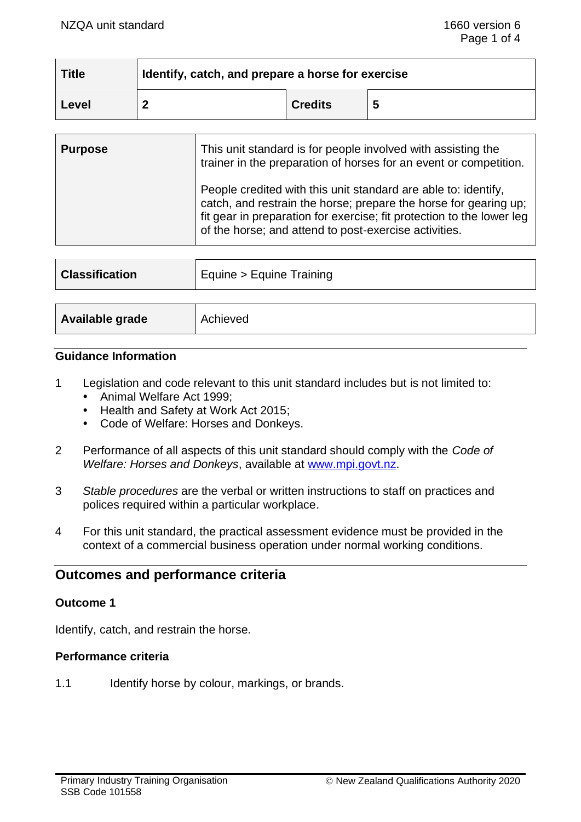| Title | dentify, catch, and prepare a horse for exercise |                |  |
|-------|--------------------------------------------------|----------------|--|
| Level |                                                  | <b>Credits</b> |  |

| <b>Purpose</b> | This unit standard is for people involved with assisting the<br>trainer in the preparation of horses for an event or competition.                                                                                                                                    |
|----------------|----------------------------------------------------------------------------------------------------------------------------------------------------------------------------------------------------------------------------------------------------------------------|
|                | People credited with this unit standard are able to: identify,<br>catch, and restrain the horse; prepare the horse for gearing up;<br>fit gear in preparation for exercise; fit protection to the lower leg<br>of the horse; and attend to post-exercise activities. |

| <b>Classification</b> | Equine > Equine Training |  |
|-----------------------|--------------------------|--|
| Available grade       | Achieved                 |  |

### **Guidance Information**

- 1 Legislation and code relevant to this unit standard includes but is not limited to:
	- Animal Welfare Act 1999:
	- Health and Safety at Work Act 2015;
	- Code of Welfare: Horses and Donkeys.
- 2 Performance of all aspects of this unit standard should comply with the *Code of Welfare: Horses and Donkeys*, available at [www.mpi.govt.nz.](http://www.mpi.govt.nz/)
- 3 *Stable procedures* are the verbal or written instructions to staff on practices and polices required within a particular workplace.
- 4 For this unit standard, the practical assessment evidence must be provided in the context of a commercial business operation under normal working conditions.

# **Outcomes and performance criteria**

#### **Outcome 1**

Identify, catch, and restrain the horse.

### **Performance criteria**

1.1 Identify horse by colour, markings, or brands.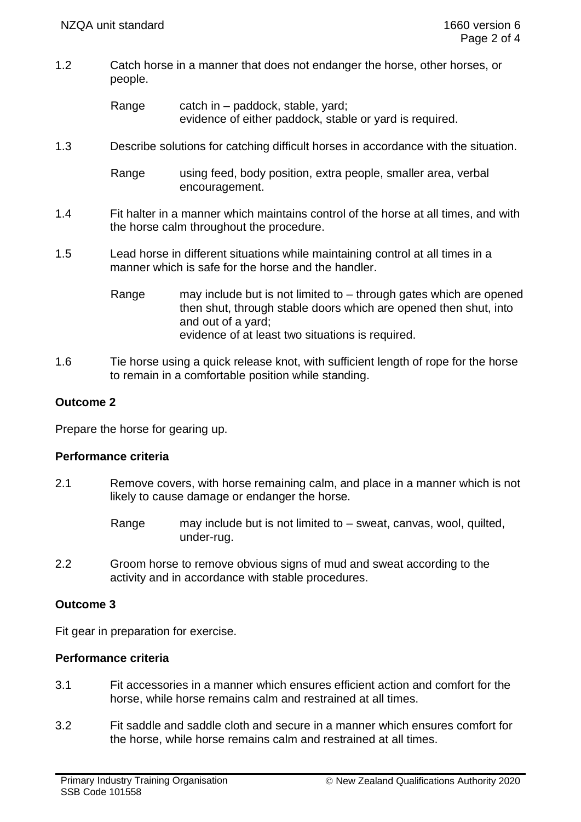1.2 Catch horse in a manner that does not endanger the horse, other horses, or people.

> Range catch in – paddock, stable, yard; evidence of either paddock, stable or yard is required.

1.3 Describe solutions for catching difficult horses in accordance with the situation.

Range using feed, body position, extra people, smaller area, verbal encouragement.

- 1.4 Fit halter in a manner which maintains control of the horse at all times, and with the horse calm throughout the procedure.
- 1.5 Lead horse in different situations while maintaining control at all times in a manner which is safe for the horse and the handler.
	- Range may include but is not limited to through gates which are opened then shut, through stable doors which are opened then shut, into and out of a yard; evidence of at least two situations is required.
- 1.6 Tie horse using a quick release knot, with sufficient length of rope for the horse to remain in a comfortable position while standing.

# **Outcome 2**

Prepare the horse for gearing up.

#### **Performance criteria**

- 2.1 Remove covers, with horse remaining calm, and place in a manner which is not likely to cause damage or endanger the horse.
	- Range may include but is not limited to sweat, canvas, wool, quilted, under-rug.
- 2.2 Groom horse to remove obvious signs of mud and sweat according to the activity and in accordance with stable procedures.

#### **Outcome 3**

Fit gear in preparation for exercise.

#### **Performance criteria**

- 3.1 Fit accessories in a manner which ensures efficient action and comfort for the horse, while horse remains calm and restrained at all times.
- 3.2 Fit saddle and saddle cloth and secure in a manner which ensures comfort for the horse, while horse remains calm and restrained at all times.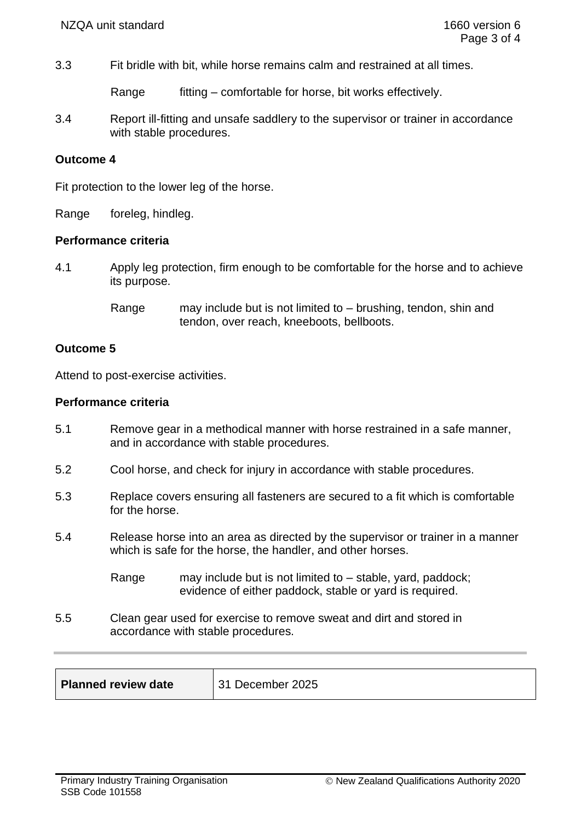3.3 Fit bridle with bit, while horse remains calm and restrained at all times.

Range fitting – comfortable for horse, bit works effectively.

3.4 Report ill-fitting and unsafe saddlery to the supervisor or trainer in accordance with stable procedures.

#### **Outcome 4**

Fit protection to the lower leg of the horse.

Range foreleg, hindleg.

#### **Performance criteria**

- 4.1 Apply leg protection, firm enough to be comfortable for the horse and to achieve its purpose.
	- Range may include but is not limited to brushing, tendon, shin and tendon, over reach, kneeboots, bellboots.

## **Outcome 5**

Attend to post-exercise activities.

#### **Performance criteria**

- 5.1 Remove gear in a methodical manner with horse restrained in a safe manner, and in accordance with stable procedures.
- 5.2 Cool horse, and check for injury in accordance with stable procedures.
- 5.3 Replace covers ensuring all fasteners are secured to a fit which is comfortable for the horse.
- 5.4 Release horse into an area as directed by the supervisor or trainer in a manner which is safe for the horse, the handler, and other horses.
	- Range may include but is not limited to stable, yard, paddock; evidence of either paddock, stable or yard is required.
- 5.5 Clean gear used for exercise to remove sweat and dirt and stored in accordance with stable procedures.

| <b>Planned review date</b> | 31 December 2025 |
|----------------------------|------------------|
|                            |                  |